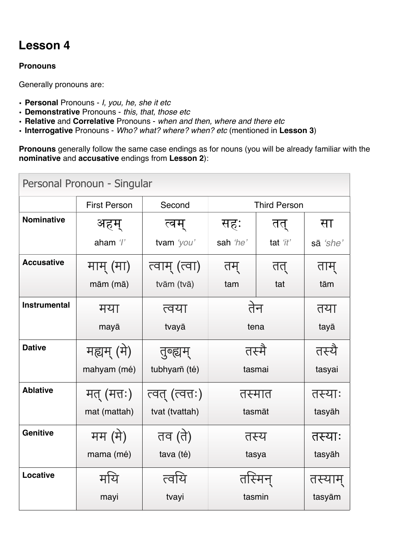# **Lesson 4**

## **Pronouns**

Generally pronouns are:

- **Personal** Pronouns *I, you, he, she it etc*
- **Demonstrative** Pronouns *this, that, those etc*
- **Relative** and **Correlative** Pronouns *when and then, where and there etc*
- **Interrogative** Pronouns *Who? what? where? when? etc* (mentioned in **Lesson 3**)

**Pronouns** generally follow the same case endings as for nouns (you will be already familiar with the **nominative** and **accusative** endings from **Lesson 2**):

| Personal Pronoun - Singular |                     |                 |                     |          |          |
|-----------------------------|---------------------|-----------------|---------------------|----------|----------|
|                             | <b>First Person</b> | Second          | <b>Third Person</b> |          |          |
| <b>Nominative</b>           | अहम्                | त्वम्           | सहः                 | तत्      | सा       |
|                             | aham '/'            | tvam 'you'      | sah 'he'            | tat 'it' | sā 'she' |
| <b>Accusative</b>           | माम् (मा)           | त्वाम् (त्वा)   | तम्                 | तत्      | ताम्     |
|                             | mām (mā)            | tvām (tvā)      | tam                 | tat      | tām      |
| <b>Instrumental</b>         | मया                 | त्वया           | तेन                 |          | तया      |
|                             | mayā                | tvayā           | tena                |          | tayā     |
| <b>Dative</b>               | मह्यम् (मे)         | तुब्ह्यम्       | तस्मै               |          | तस्यै    |
|                             | mahyam (mé)         | tubhyam (té)    | tasmai              |          | tasyai   |
| <b>Ablative</b>             | मत् (मत्तः)         | त्वत् (त्वत्तः) | तस्मात              |          | तस्याः   |
|                             | mat (mattah)        | tvat (tvattah)  | tasmāt              |          | tasyāh   |
| <b>Genitive</b>             | मम (मे)             | तव (ते)         | तस्य                |          | तस्याः   |
|                             | mama (mé)           | tava (té)       | tasya               |          | tasyāh   |
| Locative                    | मयि                 | त्वयि           | तस्मिन              |          | तस्याम   |
|                             | mayi                | tvayi           | tasmin              |          | tasyām   |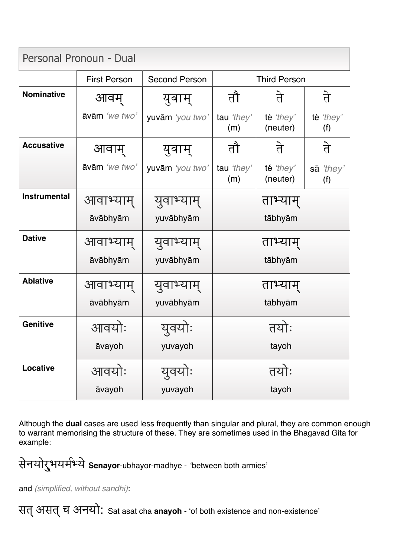| Personal Pronoun - Dual |                     |                      |                     |                       |                  |
|-------------------------|---------------------|----------------------|---------------------|-----------------------|------------------|
|                         | <b>First Person</b> | <b>Second Person</b> | <b>Third Person</b> |                       |                  |
| <b>Nominative</b>       | आवम्                | युवाम्               | तौ                  | ते                    | ते               |
|                         | āvām 'we two'       | yuvām 'you two'      | tau 'they'<br>(m)   | té 'they'<br>(neuter) | té 'they'<br>(f) |
| <b>Accusative</b>       | आवाम्               | युवाम्               | तौ                  | ते                    | ते               |
|                         | āvām 'we two'       | yuvām 'you two'      | tau 'they'<br>(m)   | té 'they'<br>(neuter) | sā 'they'<br>(f) |
| <b>Instrumental</b>     | आवाभ्याम्           | युवाभ्य              | ताभ्याम्            |                       |                  |
|                         | āvābhyām            | yuvābhyām            | tābhyām             |                       |                  |
| <b>Dative</b>           | आवाभ्याम्           | युवाभ्याम्           | ताभ्याम्            |                       |                  |
|                         | āvābhyām            | yuvābhyām            | tābhyām             |                       |                  |
| <b>Ablative</b>         | आवाभ्याम्           | युवाभ्य              | ताभ्याम             |                       |                  |
|                         | āvābhyām            | yuvābhyām            | tābhyām             |                       |                  |
| <b>Genitive</b>         | आवयोः               | यवर                  | तयोः                |                       |                  |
|                         | āvayoh              | yuvayoh              |                     | tayoh                 |                  |
| <b>Locative</b>         | आवयोः               | युवयोः               | तयोः                |                       |                  |
|                         | āvayoh              | yuvayoh              | tayoh               |                       |                  |

Although the **dual** cases are used less frequently than singular and plural, they are common enough to warrant memorising the structure of these. They are sometimes used in the Bhagavad Gita for example:

सेनयोर्**भयर्मभ्ये Senayor**-ubhayor-madhye - 'between both armies'

and *(simplified, without sandhi)*:

सत्असत्च अनयो: Sat asat cha **anayoh** - 'of both existence and non-existence'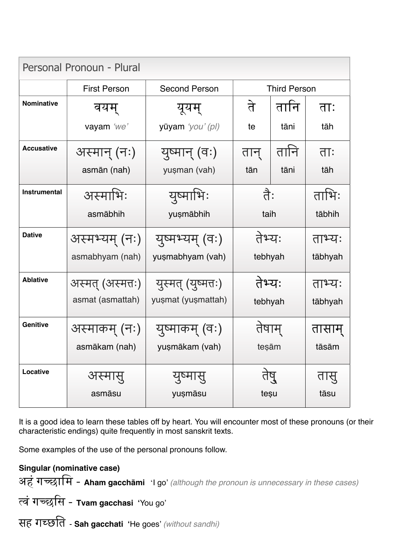| Personal Pronoun - Plural |                     |                      |                     |      |         |
|---------------------------|---------------------|----------------------|---------------------|------|---------|
|                           | <b>First Person</b> | <b>Second Person</b> | <b>Third Person</b> |      |         |
| <b>Nominative</b>         | वयम्                | यूयम्                | ते                  | तानि | ताः     |
|                           | vayam 'we'          | yūyam 'you' (pl)     | te                  | tāni | tāh     |
| <b>Accusative</b>         | अस्मान् (नः)        | युष्मान् (वः)        | तान्                | तानि | ताः     |
|                           | asmān (nah)         | yușman (vah)         | tān                 | tāni | tāh     |
| Instrumental              | अस्माभिः            | युष्माभिः            | तेः                 |      | ताभिः   |
|                           | asmābhih            | yușmābhih            | taih                |      | tābhih  |
| <b>Dative</b>             | अस्मभ्यम् (नः)      | युष्मभ्यम् (वः)      | तेभ्यः              |      | ताभ्यः  |
|                           | asmabhyam (nah)     | yuşmabhyam (vah)     | tebhyah             |      | tābhyah |
| <b>Ablative</b>           | अस्मत् (अस्मत्तः)   | युस्मत् (युष्मत्तः)  | तेभ्यः              |      | ताभ्यः  |
|                           | asmat (asmattah)    | yușmat (yușmattah)   | tebhyah             |      | tābhyah |
| <b>Genitive</b>           | अस्माकम् (नः)       | युष्माकम् (वः)       | तेषाम्              |      | तासाम्  |
|                           | asmākam (nah)       | yuṣmākam (vah)       | teşām               |      | tāsām   |
| Locative                  | अस्मासु             | युष्मासु             |                     |      | वास्र   |
|                           | asmāsu              | yuşmāsu              | teșu                |      | tāsu    |

It is a good idea to learn these tables off by heart. You will encounter most of these pronouns (or their characteristic endings) quite frequently in most sanskrit texts.

Some examples of the use of the personal pronouns follow.

# **Singular (nominative case)**

अहं गच्छामि - Aham gacchāmi 'I go' *(although the pronoun is unnecessary in these cases)* 

त्वं गच्छसि - Tvam gacchasi 'You go'

सह **ग**च्छति - Sah gacchati 'He goes' (without sandhi)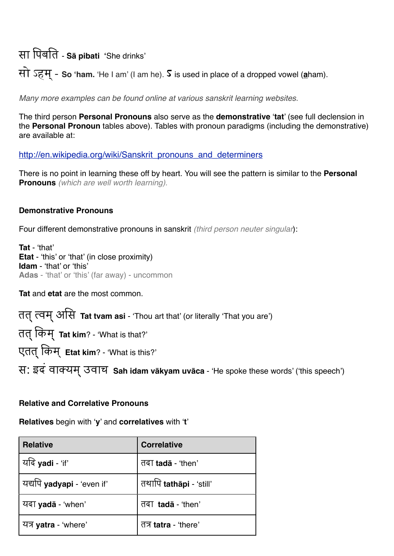सा पिबति - sa pibati 'She drinks'

सो ऽहम - So 'ham. 'He I am' (I am he). S is used in place of a dropped vowel (aham).

Many more examples can be found online at various sanskrit learning websites.

The third person Personal Pronouns also serve as the demonstrative 'tat' (see full declension in the Personal Pronoun tables above). Tables with pronoun paradigms (including the demonstrative) are available at:

http://en.wikipedia.org/wiki/Sanskrit pronouns and determiners

There is no point in learning these off by heart. You will see the pattern is similar to the Personal **Pronouns** (which are well worth learning).

#### **Demonstrative Pronouns**

Four different demonstrative pronouns in sanskrit (third person neuter singular):

Tat - 'that' Etat - 'this' or 'that' (in close proximity) **Idam** - 'that' or 'this' Adas - 'that' or 'this' (far away) - uncommon

Tat and etat are the most common.

तत् त्वम् असि Tat tvam asi - 'Thou art that' (or literally 'That you are')

तत् किम् Tat kim? - 'What is that?'

एतत् किम् Etat kim? - 'What is this?'

स: इंदं वाक्यम् उवाच Sah idam vākyam uvāca - 'He spoke these words' ('this speech')

### **Relative and Correlative Pronouns**

Relatives begin with 'y' and correlatives with 't'

| <b>Relative</b>                   | <b>Correlative</b>             |
|-----------------------------------|--------------------------------|
| यदि yadi - 'if'                   | तदा <b>tada</b> - 'then'       |
| यद्यपि <b>yadyapi</b> - 'even if' | तथापि <b>tathāpi</b> - 'still' |
| यदा <b>yadā</b> - 'when'          | तदा <b>tada</b> - 'then'       |
| यत्र <b>yatra</b> - 'where'       | तत्र <b>tatra</b> - 'there'    |